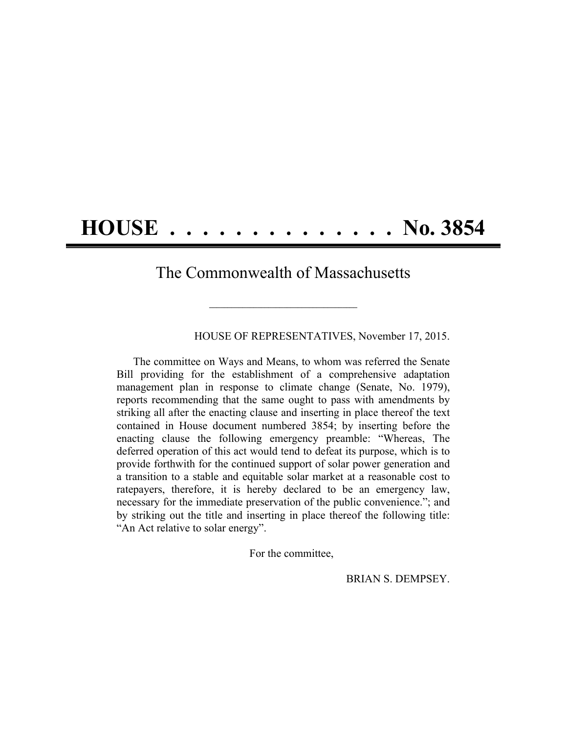## **HOUSE . . . . . . . . . . . . . . No. 3854**

## The Commonwealth of Massachusetts

**\_\_\_\_\_\_\_\_\_\_\_\_\_\_\_\_\_\_\_\_\_\_\_\_\_\_\_\_\_\_\_\_\_\_\_\_\_\_\_\_**

HOUSE OF REPRESENTATIVES, November 17, 2015.

The committee on Ways and Means, to whom was referred the Senate Bill providing for the establishment of a comprehensive adaptation management plan in response to climate change (Senate, No. 1979), reports recommending that the same ought to pass with amendments by striking all after the enacting clause and inserting in place thereof the text contained in House document numbered 3854; by inserting before the enacting clause the following emergency preamble: "Whereas, The deferred operation of this act would tend to defeat its purpose, which is to provide forthwith for the continued support of solar power generation and a transition to a stable and equitable solar market at a reasonable cost to ratepayers, therefore, it is hereby declared to be an emergency law, necessary for the immediate preservation of the public convenience."; and by striking out the title and inserting in place thereof the following title: "An Act relative to solar energy".

For the committee,

BRIAN S. DEMPSEY.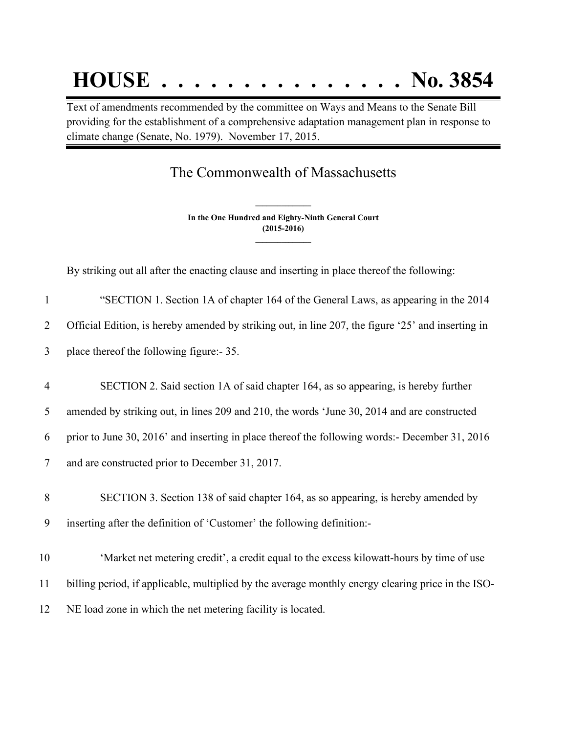## **HOUSE . . . . . . . . . . . . . . . No. 3854**

Text of amendments recommended by the committee on Ways and Means to the Senate Bill providing for the establishment of a comprehensive adaptation management plan in response to climate change (Senate, No. 1979). November 17, 2015.

## The Commonwealth of Massachusetts

**In the One Hundred and Eighty-Ninth General Court (2015-2016) \_\_\_\_\_\_\_\_\_\_\_\_\_\_\_**

**\_\_\_\_\_\_\_\_\_\_\_\_\_\_\_**

By striking out all after the enacting clause and inserting in place thereof the following:

| $\mathbf{1}$   | "SECTION 1. Section 1A of chapter 164 of the General Laws, as appearing in the 2014                |
|----------------|----------------------------------------------------------------------------------------------------|
| $\overline{2}$ | Official Edition, is hereby amended by striking out, in line 207, the figure '25' and inserting in |
| 3              | place thereof the following figure:- 35.                                                           |
| $\overline{4}$ | SECTION 2. Said section 1A of said chapter 164, as so appearing, is hereby further                 |
| 5              | amended by striking out, in lines 209 and 210, the words 'June 30, 2014 and are constructed        |
| 6              | prior to June 30, 2016' and inserting in place thereof the following words:- December 31, 2016     |
| $\tau$         | and are constructed prior to December 31, 2017.                                                    |
| 8              | SECTION 3. Section 138 of said chapter 164, as so appearing, is hereby amended by                  |
| 9              | inserting after the definition of 'Customer' the following definition:-                            |
| 10             | 'Market net metering credit', a credit equal to the excess kilowatt-hours by time of use           |
| 11             | billing period, if applicable, multiplied by the average monthly energy clearing price in the ISO- |
| 12             | NE load zone in which the net metering facility is located.                                        |
|                |                                                                                                    |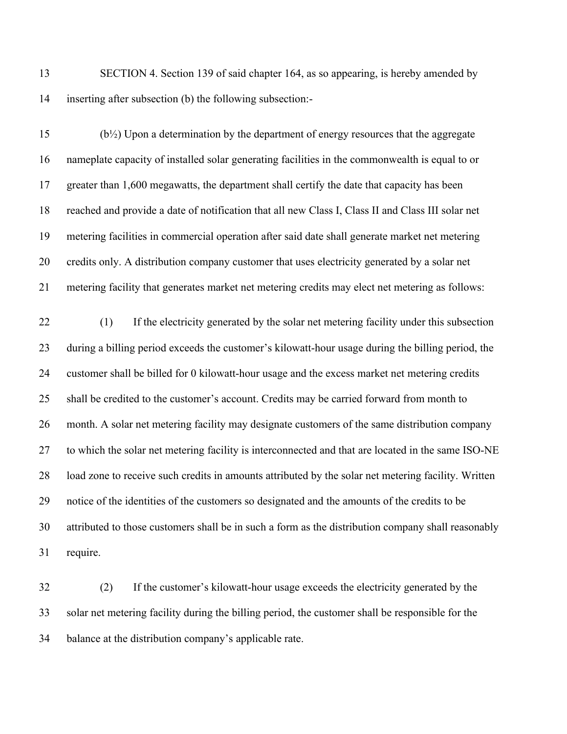SECTION 4. Section 139 of said chapter 164, as so appearing, is hereby amended by inserting after subsection (b) the following subsection:-

 (b½) Upon a determination by the department of energy resources that the aggregate nameplate capacity of installed solar generating facilities in the commonwealth is equal to or greater than 1,600 megawatts, the department shall certify the date that capacity has been reached and provide a date of notification that all new Class I, Class II and Class III solar net metering facilities in commercial operation after said date shall generate market net metering credits only. A distribution company customer that uses electricity generated by a solar net metering facility that generates market net metering credits may elect net metering as follows:

 (1) If the electricity generated by the solar net metering facility under this subsection during a billing period exceeds the customer's kilowatt-hour usage during the billing period, the customer shall be billed for 0 kilowatt-hour usage and the excess market net metering credits shall be credited to the customer's account. Credits may be carried forward from month to month. A solar net metering facility may designate customers of the same distribution company to which the solar net metering facility is interconnected and that are located in the same ISO-NE load zone to receive such credits in amounts attributed by the solar net metering facility. Written notice of the identities of the customers so designated and the amounts of the credits to be attributed to those customers shall be in such a form as the distribution company shall reasonably require.

 (2) If the customer's kilowatt-hour usage exceeds the electricity generated by the solar net metering facility during the billing period, the customer shall be responsible for the balance at the distribution company's applicable rate.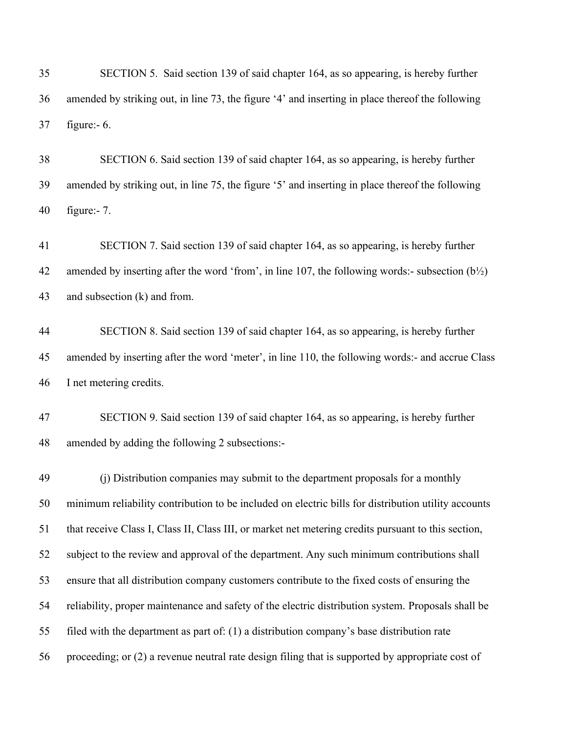| 35 | SECTION 5. Said section 139 of said chapter 164, as so appearing, is hereby further              |
|----|--------------------------------------------------------------------------------------------------|
| 36 | amended by striking out, in line 73, the figure '4' and inserting in place thereof the following |
| 37 | figure:- $6$ .                                                                                   |

 SECTION 6. Said section 139 of said chapter 164, as so appearing, is hereby further amended by striking out, in line 75, the figure '5' and inserting in place thereof the following figure:- 7.

 SECTION 7. Said section 139 of said chapter 164, as so appearing, is hereby further 42 amended by inserting after the word 'from', in line 107, the following words:- subsection  $(b\frac{1}{2})$ and subsection (k) and from.

 SECTION 8. Said section 139 of said chapter 164, as so appearing, is hereby further amended by inserting after the word 'meter', in line 110, the following words:- and accrue Class I net metering credits.

 SECTION 9. Said section 139 of said chapter 164, as so appearing, is hereby further amended by adding the following 2 subsections:-

 (j) Distribution companies may submit to the department proposals for a monthly minimum reliability contribution to be included on electric bills for distribution utility accounts that receive Class I, Class II, Class III, or market net metering credits pursuant to this section, subject to the review and approval of the department. Any such minimum contributions shall ensure that all distribution company customers contribute to the fixed costs of ensuring the reliability, proper maintenance and safety of the electric distribution system. Proposals shall be filed with the department as part of: (1) a distribution company's base distribution rate proceeding; or (2) a revenue neutral rate design filing that is supported by appropriate cost of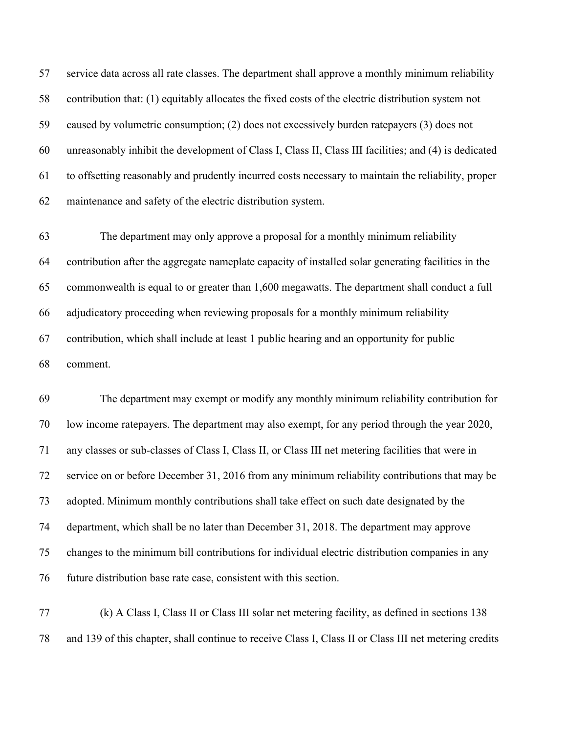service data across all rate classes. The department shall approve a monthly minimum reliability contribution that: (1) equitably allocates the fixed costs of the electric distribution system not caused by volumetric consumption; (2) does not excessively burden ratepayers (3) does not unreasonably inhibit the development of Class I, Class II, Class III facilities; and (4) is dedicated to offsetting reasonably and prudently incurred costs necessary to maintain the reliability, proper maintenance and safety of the electric distribution system.

 The department may only approve a proposal for a monthly minimum reliability contribution after the aggregate nameplate capacity of installed solar generating facilities in the commonwealth is equal to or greater than 1,600 megawatts. The department shall conduct a full adjudicatory proceeding when reviewing proposals for a monthly minimum reliability contribution, which shall include at least 1 public hearing and an opportunity for public comment.

 The department may exempt or modify any monthly minimum reliability contribution for low income ratepayers. The department may also exempt, for any period through the year 2020, any classes or sub-classes of Class I, Class II, or Class III net metering facilities that were in service on or before December 31, 2016 from any minimum reliability contributions that may be adopted. Minimum monthly contributions shall take effect on such date designated by the department, which shall be no later than December 31, 2018. The department may approve changes to the minimum bill contributions for individual electric distribution companies in any future distribution base rate case, consistent with this section.

 (k) A Class I, Class II or Class III solar net metering facility, as defined in sections 138 and 139 of this chapter, shall continue to receive Class I, Class II or Class III net metering credits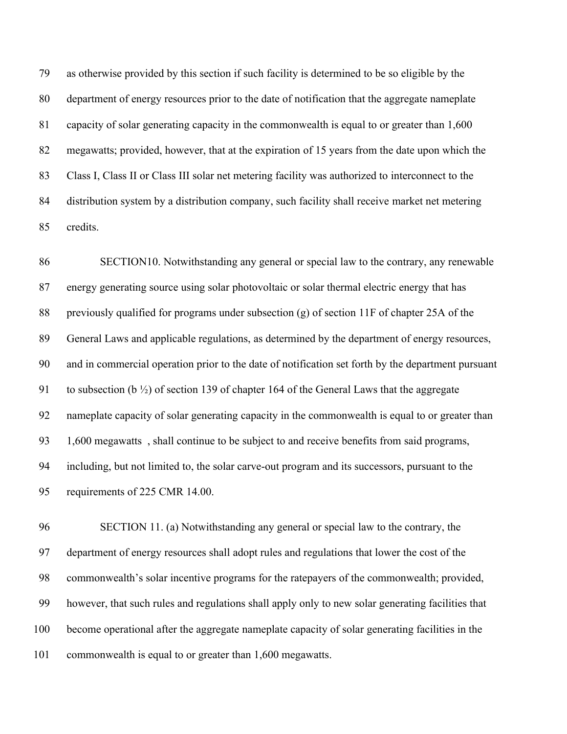as otherwise provided by this section if such facility is determined to be so eligible by the department of energy resources prior to the date of notification that the aggregate nameplate capacity of solar generating capacity in the commonwealth is equal to or greater than 1,600 megawatts; provided, however, that at the expiration of 15 years from the date upon which the 83 Class I, Class II or Class III solar net metering facility was authorized to interconnect to the distribution system by a distribution company, such facility shall receive market net metering credits.

 SECTION10. Notwithstanding any general or special law to the contrary, any renewable energy generating source using solar photovoltaic or solar thermal electric energy that has 88 previously qualified for programs under subsection (g) of section 11F of chapter 25A of the General Laws and applicable regulations, as determined by the department of energy resources, and in commercial operation prior to the date of notification set forth by the department pursuant to subsection (b ½) of section 139 of chapter 164 of the General Laws that the aggregate nameplate capacity of solar generating capacity in the commonwealth is equal to or greater than 1,600 megawatts , shall continue to be subject to and receive benefits from said programs, including, but not limited to, the solar carve-out program and its successors, pursuant to the requirements of 225 CMR 14.00.

 SECTION 11. (a) Notwithstanding any general or special law to the contrary, the department of energy resources shall adopt rules and regulations that lower the cost of the commonwealth's solar incentive programs for the ratepayers of the commonwealth; provided, however, that such rules and regulations shall apply only to new solar generating facilities that become operational after the aggregate nameplate capacity of solar generating facilities in the commonwealth is equal to or greater than 1,600 megawatts.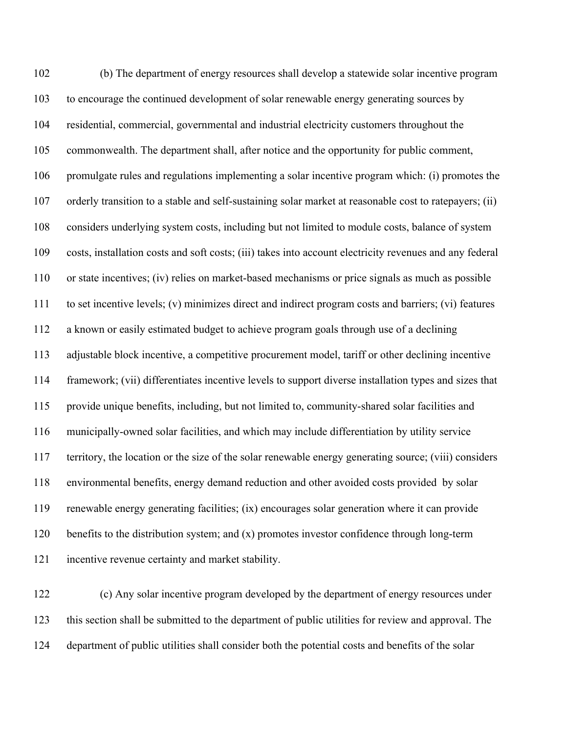(b) The department of energy resources shall develop a statewide solar incentive program to encourage the continued development of solar renewable energy generating sources by residential, commercial, governmental and industrial electricity customers throughout the commonwealth. The department shall, after notice and the opportunity for public comment, promulgate rules and regulations implementing a solar incentive program which: (i) promotes the orderly transition to a stable and self-sustaining solar market at reasonable cost to ratepayers; (ii) considers underlying system costs, including but not limited to module costs, balance of system costs, installation costs and soft costs; (iii) takes into account electricity revenues and any federal or state incentives; (iv) relies on market-based mechanisms or price signals as much as possible to set incentive levels; (v) minimizes direct and indirect program costs and barriers; (vi) features a known or easily estimated budget to achieve program goals through use of a declining adjustable block incentive, a competitive procurement model, tariff or other declining incentive framework; (vii) differentiates incentive levels to support diverse installation types and sizes that provide unique benefits, including, but not limited to, community-shared solar facilities and municipally-owned solar facilities, and which may include differentiation by utility service territory, the location or the size of the solar renewable energy generating source; (viii) considers environmental benefits, energy demand reduction and other avoided costs provided by solar renewable energy generating facilities; (ix) encourages solar generation where it can provide benefits to the distribution system; and (x) promotes investor confidence through long-term incentive revenue certainty and market stability.

 (c) Any solar incentive program developed by the department of energy resources under this section shall be submitted to the department of public utilities for review and approval. The department of public utilities shall consider both the potential costs and benefits of the solar